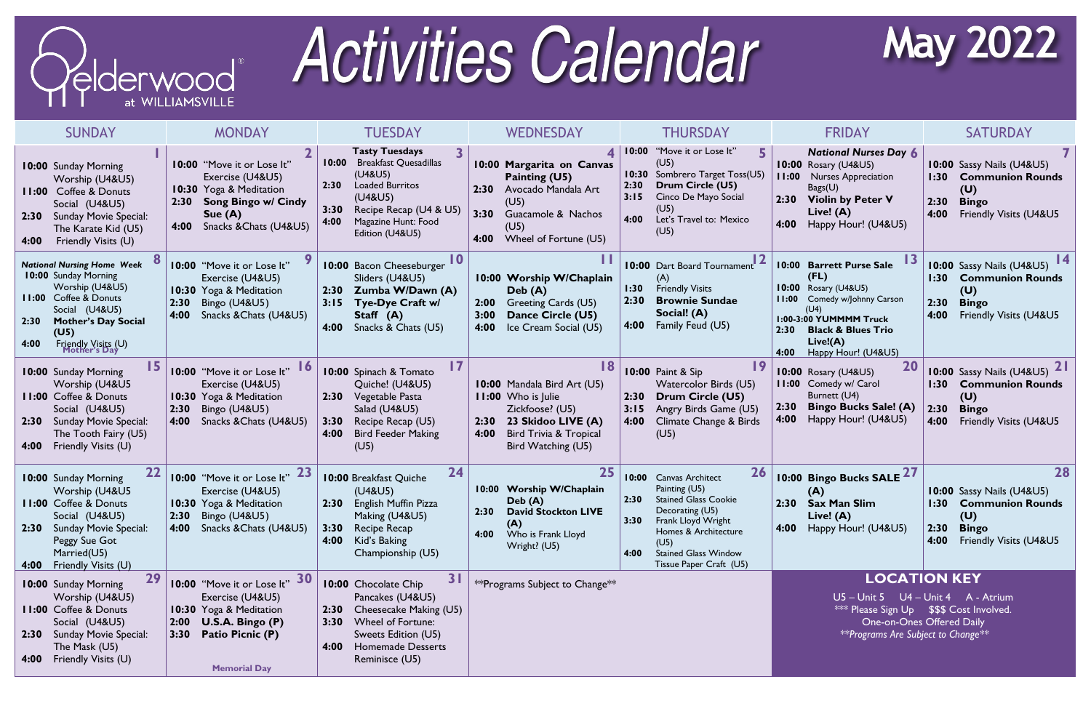

## **Activities Calendar**

| <b>SUNDAY</b>                                                                                                                                                                                                                      | <b>MONDAY</b>                                                                                                                                                  | <b>TUESDAY</b>                                                                                                                                                                                                  | <b>WEDNESDAY</b>                                                                                                                                                            | THURSDAY                                                                                                                                                                                                                                       | <b>FRIDAY</b>                                                                                                                                                                                                            | <b>SATURDAY</b>                                                                                                                                |
|------------------------------------------------------------------------------------------------------------------------------------------------------------------------------------------------------------------------------------|----------------------------------------------------------------------------------------------------------------------------------------------------------------|-----------------------------------------------------------------------------------------------------------------------------------------------------------------------------------------------------------------|-----------------------------------------------------------------------------------------------------------------------------------------------------------------------------|------------------------------------------------------------------------------------------------------------------------------------------------------------------------------------------------------------------------------------------------|--------------------------------------------------------------------------------------------------------------------------------------------------------------------------------------------------------------------------|------------------------------------------------------------------------------------------------------------------------------------------------|
| <b>10:00 Sunday Morning</b><br>Worship (U4&U5)<br><b>Coffee &amp; Donuts</b><br>11:00<br>Social (U4&U5)<br><b>Sunday Movie Special:</b><br>2:30<br>The Karate Kid (U5)<br>Friendly Visits (U)<br>4:00                              | 10:00 "Move it or Lose It"<br>Exercise (U4&U5)<br>10:30 Yoga & Meditation<br><b>Song Bingo w/ Cindy</b><br>2:30<br>Sue $(A)$<br>Snacks & Chats (U4&U5)<br>4:00 | <b>Tasty Tuesdays</b><br><b>Breakfast Quesadillas</b><br>10:00<br>(U4&U5)<br><b>Loaded Burritos</b><br>2:30<br>(U4&U5)<br>3:30<br>Recipe Recap (U4 & U5)<br>4:00<br>Magazine Hunt: Food<br>Edition (U4&U5)      | 4<br>10:00 Margarita on Canvas<br>Painting (U5)<br>2:30<br>Avocado Mandala Art<br>(U5)<br>3:30<br>Guacamole & Nachos<br>(U5)<br>Wheel of Fortune (U5)<br>4:00               | "Move it or Lose It"<br> 10:00 <br>(U5)<br>Sombrero Target Toss(U5)<br>10:30<br>2:30<br>Drum Circle (U5)<br>3:15<br>Cinco De Mayo Social<br>(U5)<br>4:00<br>Let's Travel to: Mexico<br>(U5)                                                    | <b>National Nurses Day 6</b><br><b>10:00 Rosary (U4&amp;U5)</b><br>11:00<br><b>Nurses Appreciation</b><br>Bags(U)<br>2:30 Violin by Peter V<br>Live! (A)<br>Happy Hour! (U4&U5)<br>4:00                                  | 10:00 Sassy Nails (U4&U5)<br><b>Communion Rounds</b><br>1:30<br>(U)<br>2:30<br><b>Bingo</b><br>Friendly Visits (U4&U5<br>4:00                  |
| <b>National Nursing Home Week</b><br><b>10:00 Sunday Morning</b><br>Worship (U4&U5)<br><b>11:00</b> Coffee & Donuts<br>Social (U4&U5)<br><b>Mother's Day Social</b><br>2:30<br>(U5)<br>Friendly Visits (U)<br>Mother's Day<br>4:00 | 10:00 "Move it or Lose It"<br>Exercise (U4&U5)<br>10:30 Yoga & Meditation<br>2:30<br><b>Bingo (U4&amp;U5)</b><br>Snacks & Chats (U4&U5)<br>4:00                | 10:00 Bacon Cheeseburger<br>Sliders (U4&U5)<br>Zumba W/Dawn (A)<br>2:30<br>3:15<br><b>Tye-Dye Craft w/</b><br>Staff (A)<br>4:00<br>Snacks & Chats (U5)                                                          | 10:00 Worship W/Chaplain<br>Deb(A)<br>Greeting Cards (U5)<br>2:00<br>3:00<br>Dance Circle (U5)<br>4:00<br>Ice Cream Social (U5)                                             | <b>10:00</b> Dart Board Tournament<br>(A)<br><b>Friendly Visits</b><br>1:30<br>2:30<br><b>Brownie Sundae</b><br>Social! (A)<br>4:00<br>Family Feud (U5)                                                                                        | 10:00 Barrett Purse Sale<br>(FL)<br><b>10:00</b> Rosary (U4&U5)<br>Comedy w/Johnny Carson<br>11:00<br>(U4)<br>1:00-3:00 YUMMMM Truck<br>2:30<br><b>Black &amp; Blues Trio</b><br>Live!(A)<br>Happy Hour! (U4&U5)<br>4:00 | 10:00 Sassy Nails (U4&U5)<br><b>Communion Rounds</b><br>1:30<br>(U)<br>2:30<br><b>Bingo</b><br>Friendly Visits (U4&U5<br>4:00                  |
| 10:00 Sunday Morning<br>Worship (U4&U5<br><b>11:00 Coffee &amp; Donuts</b><br>Social (U4&U5)<br><b>Sunday Movie Special:</b><br>2:30<br>The Tooth Fairy (U5)<br>Friendly Visits (U)<br>4:00                                        | 10:00 "Move it or Lose It"<br>Exercise (U4&U5)<br>10:30 Yoga & Meditation<br>2:30<br>Bingo $(U4&U5)$<br>Snacks & Chats (U4&U5)<br>4:00                         | 10:00 Spinach & Tomato<br>Quiche! (U4&U5)<br>2:30<br>Vegetable Pasta<br>Salad (U4&U5)<br>3:30<br>Recipe Recap (U5)<br><b>Bird Feeder Making</b><br>4:00<br>(U5)                                                 | 18<br>10:00 Mandala Bird Art (U5)<br>11:00 Who is Julie<br>Zickfoose? (U5)<br>23 Skidoo LIVE (A)<br>2:30<br><b>Bird Trivia &amp; Tropical</b><br>4:00<br>Bird Watching (U5) | <b>10:00 Paint &amp; Sip</b><br><b>Watercolor Birds (U5)</b><br>Drum Circle (U5)<br>2:30<br>3:15<br>Angry Birds Game (U5)<br>4:00<br>Climate Change & Birds<br>(U5)                                                                            | 20<br><b>10:00 Rosary (U4&amp;U5)</b><br>11:00 Comedy w/ Carol<br>Burnett (U4)<br><b>Bingo Bucks Sale! (A)</b><br>2:30<br>4:00<br>Happy Hour! (U4&U5)                                                                    | <b>10:00</b> Sassy Nails (U4&U5)<br>1:30<br><b>Communion Rounds</b><br>(U)<br><b>Bingo</b><br>2:30<br>Friendly Visits (U4&U5<br>4:00           |
| 22<br>10:00 Sunday Morning<br>Worship (U4&U5<br><b>11:00 Coffee &amp; Donuts</b><br>Social (U4&U5)<br>2:30<br><b>Sunday Movie Special:</b><br>Peggy Sue Got<br>Married(U5)<br>Friendly Visits (U)<br>4:00                          | <b>23</b><br>10:00 "Move it or Lose It"<br>Exercise (U4&U5)<br>10:30 Yoga & Meditation<br>Bingo (U4&U5)<br>2:30<br>Snacks & Chats (U4&U5)<br>4:00              | 24<br>10:00 Breakfast Quiche<br>(U4&U5)<br>English Muffin Pizza<br>2:30<br>Making (U4&U5)<br>3:30 Recipe Recap<br>Kid's Baking<br>4:00<br>Championship (U5)                                                     | 10:00 Worship W/Chaplain<br>Deb(A)<br>2:30<br><b>David Stockton LIVE</b><br>(A)<br>Who is Frank Lloyd<br>4:00<br>Wright? (U5)                                               | 26<br>10:00<br><b>Canvas Architect</b><br>Painting (U5)<br><b>Stained Glass Cookie</b><br>2:30<br>Decorating (U5)<br>3:30 Frank Lloyd Wright<br>Homes & Architecture<br>(U5)<br><b>Stained Glass Window</b><br>4:00<br>Tissue Paper Craft (U5) | 10:00 Bingo Bucks SALE 27<br>(A)<br><b>Sax Man Slim</b><br>2:30<br>Live! $(A)$<br>Happy Hour! (U4&U5)<br>4:00                                                                                                            | 28<br>10:00 Sassy Nails (U4&U5)<br>1:30<br><b>Communion Rounds</b><br>(U)<br><b>Bingo</b><br>2:30<br><b>Friendly Visits (U4&amp;U5</b><br>4:00 |
| 29<br>10:00 Sunday Morning<br>Worship (U4&U5)<br><b>11:00 Coffee &amp; Donuts</b><br>Social (U4&U5)<br><b>Sunday Movie Special:</b><br>2:30<br>The Mask (U5)<br>Friendly Visits (U)<br>4:00                                        | 30<br>10:00 "Move it or Lose It"<br>Exercise (U4&U5)<br>10:30 Yoga & Meditation<br>2:00 $U.S.A. Bingo (P)$<br>Patio Picnic (P)<br>3:30<br><b>Memorial Day</b>  | <b>31</b><br><b>10:00 Chocolate Chip</b><br>Pancakes (U4&U5)<br>Cheesecake Making (U5)<br>2:30<br><b>Wheel of Fortune:</b><br>3:30<br>Sweets Edition (U5)<br><b>Homemade Desserts</b><br>4:00<br>Reminisce (U5) | ** Programs Subject to Change**                                                                                                                                             |                                                                                                                                                                                                                                                | **Programs Are Subject to Change**                                                                                                                                                                                       | <b>LOCATION KEY</b><br>$U5 - Unit 5$ $U4 - Unit 4$ A - Atrium<br><b>*** Please Sign Up \$\$\$ Cost Involved.</b><br>One-on-Ones Offered Daily  |